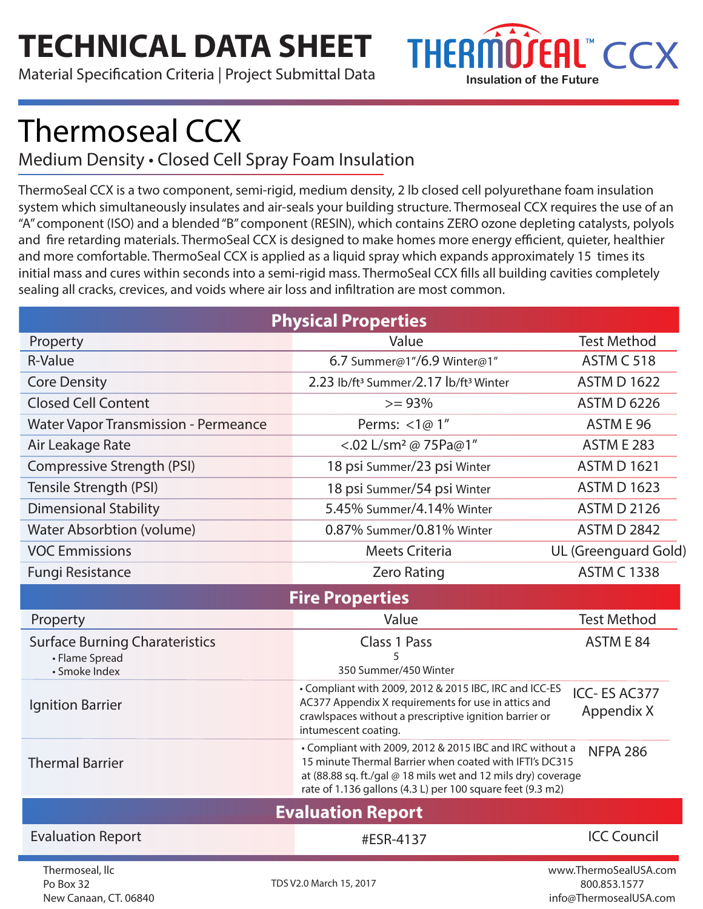## **TECHNICAL DATA SHEET**

Material Specification Criteria | Project Submittal Data



# Thermoseal CCX

#### Medium Density • Closed Cell Spray Foam Insulation

ThermoSeal CCX is a two component, semi-rigid, medium density, 2 lb closed cell polyurethane foam insulation system which simultaneously insulates and air-seals your building structure. Thermoseal CCX requires the use of an "A" component (ISO) and a blended "B" component (RESIN), which contains ZERO ozone depleting catalysts, polyols and fire retarding materials. ThermoSeal CCX is designed to make homes more energy efficient, quieter, healthier and more comfortable. ThermoSeal CCX is applied as a liquid spray which expands approximately 15 times its initial mass and cures within seconds into a semi-rigid mass. ThermoSeal CCX fills all building cavities completely sealing all cracks, crevices, and voids where air loss and infiltration are most common.

| <b>Physical Properties</b>                                               |                                                                                                                                                                                                                                                    |                                                                 |  |  |
|--------------------------------------------------------------------------|----------------------------------------------------------------------------------------------------------------------------------------------------------------------------------------------------------------------------------------------------|-----------------------------------------------------------------|--|--|
| Property                                                                 | Value                                                                                                                                                                                                                                              | <b>Test Method</b>                                              |  |  |
| <b>R-Value</b>                                                           | 6.7 Summer@1"/6.9 Winter@1"                                                                                                                                                                                                                        | <b>ASTM C 518</b>                                               |  |  |
| <b>Core Density</b>                                                      | 2.23 lb/ft <sup>3</sup> Summer/2.17 lb/ft <sup>3</sup> Winter                                                                                                                                                                                      | <b>ASTM D 1622</b>                                              |  |  |
| <b>Closed Cell Content</b>                                               | $>= 93%$                                                                                                                                                                                                                                           | <b>ASTM D 6226</b>                                              |  |  |
| <b>Water Vapor Transmission - Permeance</b>                              | Perms: <1@ 1"                                                                                                                                                                                                                                      | ASTM E 96                                                       |  |  |
| Air Leakage Rate                                                         | <.02 L/sm <sup>2</sup> @ 75Pa@1"                                                                                                                                                                                                                   | <b>ASTM E 283</b>                                               |  |  |
| Compressive Strength (PSI)                                               | 18 psi Summer/23 psi Winter                                                                                                                                                                                                                        | <b>ASTM D 1621</b>                                              |  |  |
| Tensile Strength (PSI)                                                   | 18 psi Summer/54 psi Winter                                                                                                                                                                                                                        | <b>ASTM D 1623</b>                                              |  |  |
| <b>Dimensional Stability</b>                                             | 5.45% Summer/4.14% Winter                                                                                                                                                                                                                          | <b>ASTM D 2126</b>                                              |  |  |
| <b>Water Absorbtion (volume)</b>                                         | 0.87% Summer/0.81% Winter                                                                                                                                                                                                                          | <b>ASTM D 2842</b>                                              |  |  |
| <b>VOC Emmissions</b>                                                    | <b>Meets Criteria</b>                                                                                                                                                                                                                              | UL (Greenguard Gold)                                            |  |  |
| <b>Fungi Resistance</b>                                                  | <b>Zero Rating</b>                                                                                                                                                                                                                                 | <b>ASTM C 1338</b>                                              |  |  |
| <b>Fire Properties</b>                                                   |                                                                                                                                                                                                                                                    |                                                                 |  |  |
| Property                                                                 | Value                                                                                                                                                                                                                                              | <b>Test Method</b>                                              |  |  |
| <b>Surface Burning Charateristics</b><br>• Flame Spread<br>• Smoke Index | <b>Class 1 Pass</b><br>5<br>350 Summer/450 Winter                                                                                                                                                                                                  | ASTM E 84                                                       |  |  |
| <b>Ignition Barrier</b>                                                  | • Compliant with 2009, 2012 & 2015 IBC, IRC and ICC-ES<br>AC377 Appendix X requirements for use in attics and<br>crawlspaces without a prescriptive ignition barrier or<br>intumescent coating.                                                    | ICC-ES AC377<br>Appendix X                                      |  |  |
| <b>Thermal Barrier</b>                                                   | • Compliant with 2009, 2012 & 2015 IBC and IRC without a<br>15 minute Thermal Barrier when coated with IFTI's DC315<br>at (88.88 sq. ft./gal @ 18 mils wet and 12 mils dry) coverage<br>rate of 1.136 gallons (4.3 L) per 100 square feet (9.3 m2) | <b>NFPA 286</b>                                                 |  |  |
| <b>Evaluation Report</b>                                                 |                                                                                                                                                                                                                                                    |                                                                 |  |  |
| <b>Evaluation Report</b>                                                 | #ESR-4137                                                                                                                                                                                                                                          | <b>ICC Council</b>                                              |  |  |
| Thermoseal, llc<br>Po Box 32<br>New Canaan, CT. 06840                    | TDS V2.0 March 15, 2017                                                                                                                                                                                                                            | www.ThermoSealUSA.com<br>800.853.1577<br>info@ThermosealUSA.com |  |  |